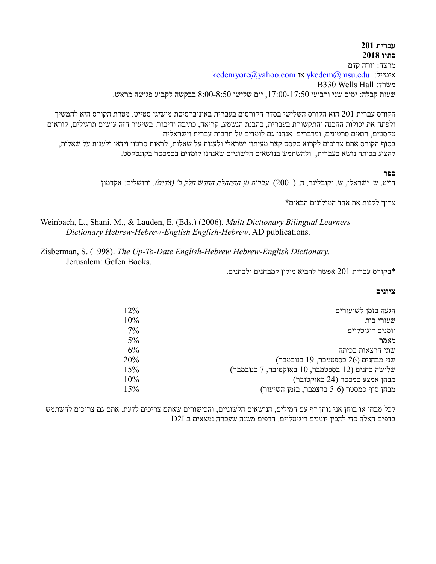## **עברית 201 סתיו 2018**

מרצה: יורה קדם [kedemyore@yahoo.com](mailto:kedemyore@yahoo.com) או [ykedem@msu.edu](mailto:ykedem@msu.edu) :אימייל B330 Wells Hall :משרד שעות קבלה: ימים שני ורביעי ,17:00-17:50 יום שלישי 8:00-8:50 בבקשה לקבוע פגישה מראש.

הקורס עברית 201 הוא הקורס השלישי בסדר הקורסים בעברית באוניברסיטת מישיגן סטייט. מטרת הקורס היא להמשיך ולפתח את יכולות ההבנה והתקשורת בעברית, בהבנת הנשמע, קריאה, כתיבה ודיבור. בשיעור הזה עושים תרגילים, קוראים טקסטים, רואים סרטונים, ומדברים. אנחנו גם לומדים על תרבות עברית וישראלית. בסוף הקורס אתם צריכים לקרוא טקסט קצר מעיתון ישראלי ולענות על שאלות, לראות סרטון וידאו ולענות על שאלות, להציג בכיתה נושא בעברית, ולהשתמש בנושאים הלשוניים שאנחנו לומדים בסמסטר בקונטקסט.

#### **ספר**

חייט, ש. ישראלי, ש. וקובלינר, ה. )2001(. *עברית מן ההתחלה החדש חלק ב' )אדום(.* ירושלים: אקדמון

צריך לקנות את אחד המילונים הבאים\*

Weinbach, L., Shani, M., & Lauden, E. (Eds.) (2006). *Multi Dictionary Bilingual Learners Dictionary Hebrew-Hebrew-English English-Hebrew*. AD publications.

Zisberman, S. (1998). *The Up-To-Date English-Hebrew Hebrew-English Dictionary.*  Jerusalem: Gefen Books.

\*בקורס עברית 201 אפשר להביא מילון למבחנים ולבחנים.

#### **ציונים**

| הגעה בזמן לשיעורים                                    | $12\%$ |
|-------------------------------------------------------|--------|
| שעורי בית                                             | 10%    |
| יומנים דיגיטליים                                      | $7\%$  |
| מאמר                                                  | $5\%$  |
| שתי הרצאות בכיתה                                      | $6\%$  |
| טני מבחנים (26 בספטמבר, 19 בנובמבר)                   | 20%    |
| (12 בוובמבר כחנים (12 בספטמבר, 10 באוקטובר, 7 בנובמבר | 15%    |
| מבחן אמצע סמסטר (24 באוקטובר)                         | 10%    |
| מבחן סוף סמסטר (5-6 בדצמבר, בזמן השיעור)              | 15%    |

לכל מבחן או בוחן אני נותן דף עם המילים, הנושאים הלשוניים, והכישורים שאתם צריכים לדעת. אתם גם צריכים להשתמש בדפים האלה כדי להכין יומנים דיגיטליים. הדפים משנה שעברה נמצאים בL2D .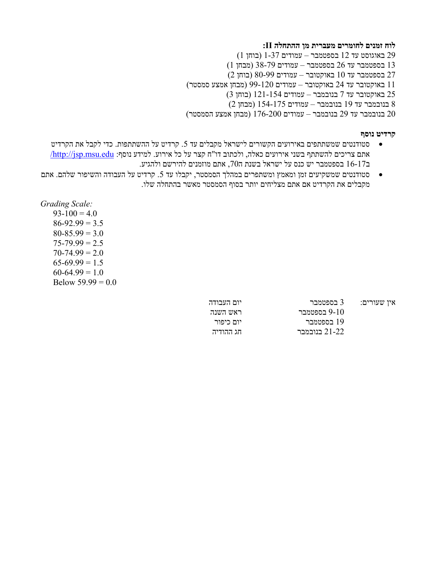## **לוח זמנים לחומרים מעברית מן ההתחלה II:**

 באוגוסט עד 12 בספטמבר – עמודים 1-37 )בוחן 1( בספטמבר עד 26 בספטמבר – עמודים 38-79 )מבחן 1( בספטמבר עד 10 באוקטובר – עמודים 80-99 )בוחן 2( באוקטובר עד 24 באוקטובר – עמודים 99-120 )מבחן אמצע סמסטר( באוקטובר עד 7 בנובמבר – עמודים 121-154 )בוחן 3( בנובמבר עד 19 בנובמבר – עמודים 154-175 )מבחן 2( בנובמבר עד 29 בנובמבר – עמודים 176-200 )מבחן אמצע הסמסטר(

#### **קרדיט נוסף**

- סטודנטים שמשתתפים באירועים הקשורים לישראל מקבלים עד 5. קרדיט על ההשתתפות. כדי לקבל את הקרדיט O אתם צריכים להשתתף בשני אירועים כאלה, ולכתוב דו"ח קצר על כל אירוע. למידע נוסף: http://jsp.msu.edu/ ב16-17 בספטמבר יש כנס על ישראל בשנת ה,70 אתם מוזמנים להירשם ולהגיע.
- סטודנטים שמשקיעים זמן ומאמץ ומשתפרים במהלך הסמסטר, יקבלו עד .5 קרדיט על העבודה והשיפור שלהם. אתם מקבלים את הקרדיט אם אתם מצליחים יותר בסוף הסמסטר מאשר בהתחלה שלו.

*Grading Scale:*

 $93-100 = 4.0$  $86-92.99 = 3.5$  $80-85.99 = 3.0$  $75 - 79.99 = 2.5$  $70 - 74.99 = 2.0$  $65-69.99 = 1.5$  $60-64.99 = 1.0$ Below  $59.99 = 0.0$ 

| איו שעורים: | 3 בספטמבר     | יום העבודה |
|-------------|---------------|------------|
|             | 9-10 בספטמבר  | ראש השנה   |
|             | 19 בספטמבר    | יום כיפור  |
|             | 21-22 בנובמבר | חג ההודיה  |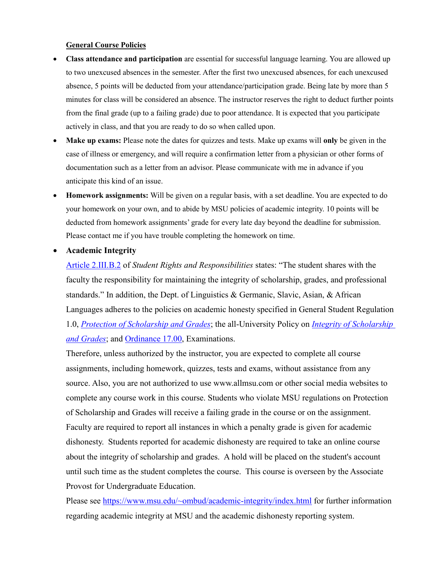### **General Course Policies**

- **Class attendance and participation** are essential for successful language learning. You are allowed up to two unexcused absences in the semester. After the first two unexcused absences, for each unexcused absence, 5 points will be deducted from your attendance/participation grade. Being late by more than 5 minutes for class will be considered an absence. The instructor reserves the right to deduct further points from the final grade (up to a failing grade) due to poor attendance. It is expected that you participate actively in class, and that you are ready to do so when called upon.
- **Make up exams:** Please note the dates for quizzes and tests. Make up exams will **only** be given in the case of illness or emergency, and will require a confirmation letter from a physician or other forms of documentation such as a letter from an advisor. Please communicate with me in advance if you anticipate this kind of an issue.
- **Homework assignments:** Will be given on a regular basis, with a set deadline. You are expected to do your homework on your own, and to abide by MSU policies of academic integrity. 10 points will be deducted from homework assignments' grade for every late day beyond the deadline for submission. Please contact me if you have trouble completing the homework on time.

# **Academic Integrity**

[Article 2.III.B.2](http://splife.studentlife.msu.edu/academic-freedom-for-students-at-michigan-state-university/article-2-academic-rights-and-responsibilities) of *Student Rights and Responsibilities* states: "The student shares with the faculty the responsibility for maintaining the integrity of scholarship, grades, and professional standards." In addition, the Dept. of Linguistics & Germanic, Slavic, Asian, & African Languages adheres to the policies on academic honesty specified in General Student Regulation 1.0, *[Protection of Scholarship and Grades](http://splife.studentlife.msu.edu/regulations/general-student-regulations)*; the all-University Policy on *[Integrity of Scholarship](http://www.reg.msu.edu/AcademicPrograms/Print.asp?Section=534)  [and Grades](http://www.reg.msu.edu/AcademicPrograms/Print.asp?Section=534)*; and [Ordinance 17.00,](http://splife.studentlife.msu.edu/regulations/student-group-regulations-administrative-rulings-all-university-policies-and-selected-ordinances/examinations-ordinance-17-00) Examinations.

Therefore, unless authorized by the instructor, you are expected to complete all course assignments, including homework, quizzes, tests and exams, without assistance from any source. Also, you are not authorized to use www.allmsu.com or other social media websites to complete any course work in this course. Students who violate MSU regulations on Protection of Scholarship and Grades will receive a failing grade in the course or on the assignment. Faculty are required to report all instances in which a penalty grade is given for academic dishonesty. Students reported for academic dishonesty are required to take an online course about the integrity of scholarship and grades. A hold will be placed on the student's account until such time as the student completes the course. This course is overseen by the Associate Provost for Undergraduate Education.

Please see<https://www.msu.edu/~ombud/academic-integrity/index.html> for further information regarding academic integrity at MSU and the academic dishonesty reporting system.